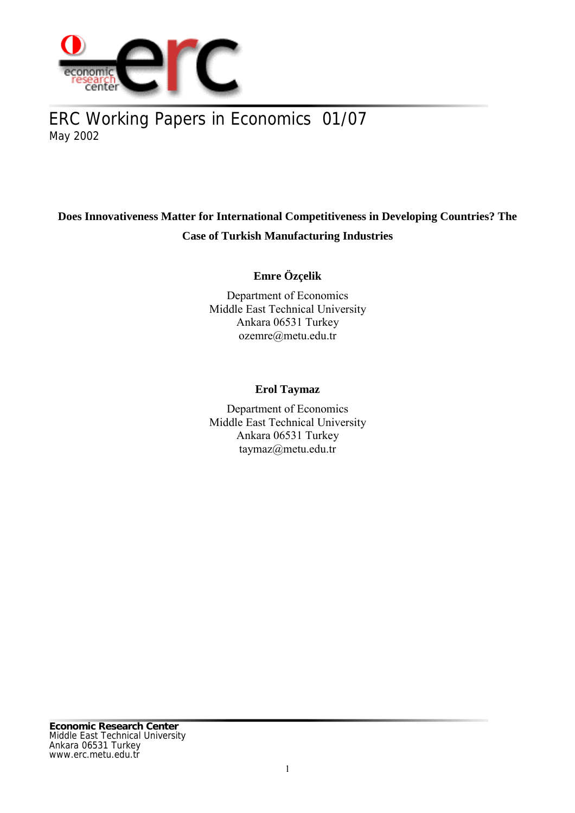

# ERC Working Papers in Economics 01/07 May 2002

## **Does Innovativeness Matter for International Competitiveness in Developing Countries? The Case of Turkish Manufacturing Industries**

## **Emre Özçelik**

Department of Economics Middle East Technical University Ankara 06531 Turkey ozemre@metu.edu.tr

## **Erol Taymaz**

Department of Economics Middle East Technical University Ankara 06531 Turkey taymaz@metu.edu.tr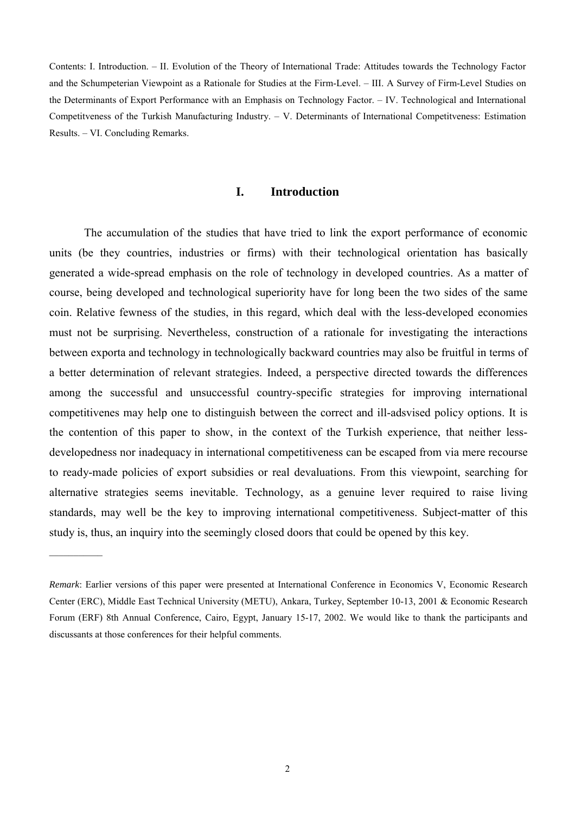Contents: I. Introduction. – II. Evolution of the Theory of International Trade: Attitudes towards the Technology Factor and the Schumpeterian Viewpoint as a Rationale for Studies at the Firm-Level. – III. A Survey of Firm-Level Studies on the Determinants of Export Performance with an Emphasis on Technology Factor. – IV. Technological and International Competitveness of the Turkish Manufacturing Industry. – V. Determinants of International Competitveness: Estimation Results. – VI. Concluding Remarks.

### **I. Introduction**

The accumulation of the studies that have tried to link the export performance of economic units (be they countries, industries or firms) with their technological orientation has basically generated a wide-spread emphasis on the role of technology in developed countries. As a matter of course, being developed and technological superiority have for long been the two sides of the same coin. Relative fewness of the studies, in this regard, which deal with the less-developed economies must not be surprising. Nevertheless, construction of a rationale for investigating the interactions between exporta and technology in technologically backward countries may also be fruitful in terms of a better determination of relevant strategies. Indeed, a perspective directed towards the differences among the successful and unsuccessful country-specific strategies for improving international competitivenes may help one to distinguish between the correct and ill-adsvised policy options. It is the contention of this paper to show, in the context of the Turkish experience, that neither lessdevelopedness nor inadequacy in international competitiveness can be escaped from via mere recourse to ready-made policies of export subsidies or real devaluations. From this viewpoint, searching for alternative strategies seems inevitable. Technology, as a genuine lever required to raise living standards, may well be the key to improving international competitiveness. Subject-matter of this study is, thus, an inquiry into the seemingly closed doors that could be opened by this key.

*Remark*: Earlier versions of this paper were presented at International Conference in Economics V, Economic Research Center (ERC), Middle East Technical University (METU), Ankara, Turkey, September 10-13, 2001 & Economic Research Forum (ERF) 8th Annual Conference, Cairo, Egypt, January 15-17, 2002. We would like to thank the participants and discussants at those conferences for their helpful comments.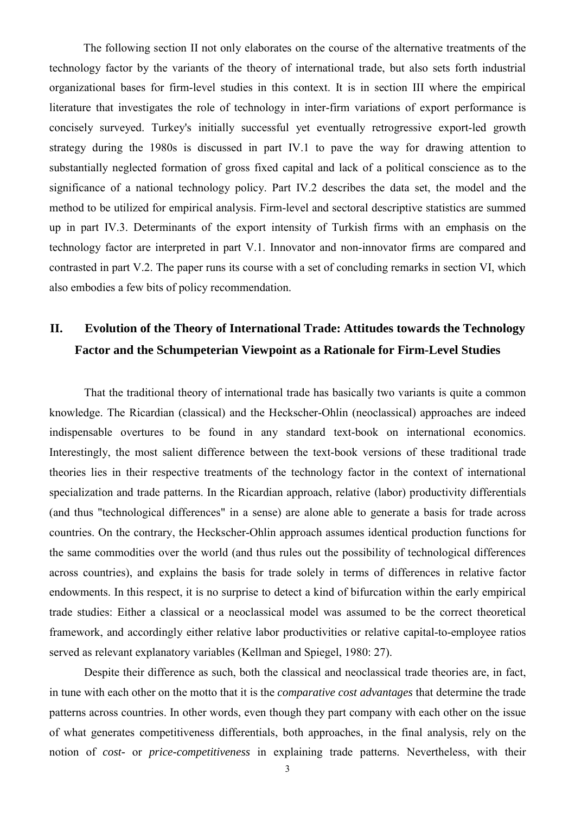The following section II not only elaborates on the course of the alternative treatments of the technology factor by the variants of the theory of international trade, but also sets forth industrial organizational bases for firm-level studies in this context. It is in section III where the empirical literature that investigates the role of technology in inter-firm variations of export performance is concisely surveyed. Turkey's initially successful yet eventually retrogressive export-led growth strategy during the 1980s is discussed in part IV.1 to pave the way for drawing attention to substantially neglected formation of gross fixed capital and lack of a political conscience as to the significance of a national technology policy. Part IV.2 describes the data set, the model and the method to be utilized for empirical analysis. Firm-level and sectoral descriptive statistics are summed up in part IV.3. Determinants of the export intensity of Turkish firms with an emphasis on the technology factor are interpreted in part V.1. Innovator and non-innovator firms are compared and contrasted in part V.2. The paper runs its course with a set of concluding remarks in section VI, which also embodies a few bits of policy recommendation.

# **II. Evolution of the Theory of International Trade: Attitudes towards the Technology Factor and the Schumpeterian Viewpoint as a Rationale for Firm-Level Studies**

That the traditional theory of international trade has basically two variants is quite a common knowledge. The Ricardian (classical) and the Heckscher-Ohlin (neoclassical) approaches are indeed indispensable overtures to be found in any standard text-book on international economics. Interestingly, the most salient difference between the text-book versions of these traditional trade theories lies in their respective treatments of the technology factor in the context of international specialization and trade patterns. In the Ricardian approach, relative (labor) productivity differentials (and thus "technological differences" in a sense) are alone able to generate a basis for trade across countries. On the contrary, the Heckscher-Ohlin approach assumes identical production functions for the same commodities over the world (and thus rules out the possibility of technological differences across countries), and explains the basis for trade solely in terms of differences in relative factor endowments. In this respect, it is no surprise to detect a kind of bifurcation within the early empirical trade studies: Either a classical or a neoclassical model was assumed to be the correct theoretical framework, and accordingly either relative labor productivities or relative capital-to-employee ratios served as relevant explanatory variables (Kellman and Spiegel, 1980: 27).

Despite their difference as such, both the classical and neoclassical trade theories are, in fact, in tune with each other on the motto that it is the *comparative cost advantages* that determine the trade patterns across countries. In other words, even though they part company with each other on the issue of what generates competitiveness differentials, both approaches, in the final analysis, rely on the notion of *cost-* or *price-competitiveness* in explaining trade patterns. Nevertheless, with their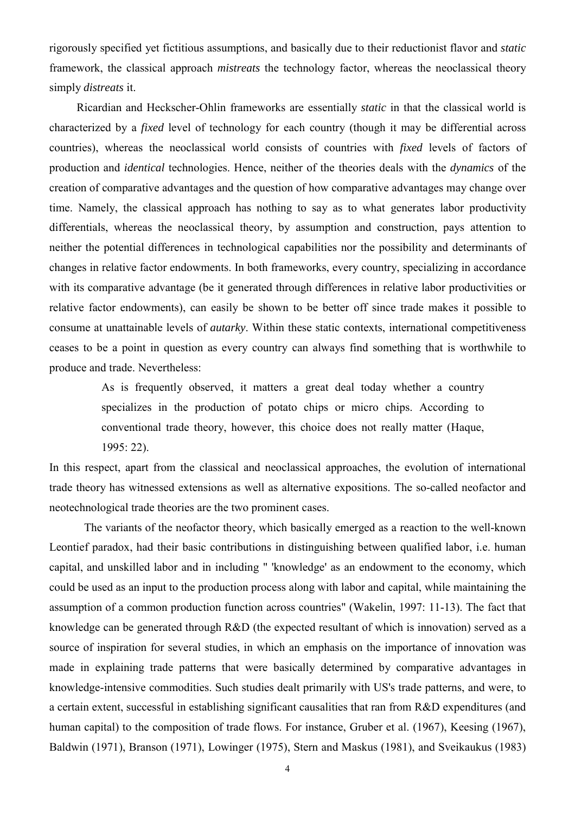rigorously specified yet fictitious assumptions, and basically due to their reductionist flavor and *static* framework, the classical approach *mistreats* the technology factor, whereas the neoclassical theory simply *distreats* it.

Ricardian and Heckscher-Ohlin frameworks are essentially *static* in that the classical world is characterized by a *fixed* level of technology for each country (though it may be differential across countries), whereas the neoclassical world consists of countries with *fixed* levels of factors of production and *identical* technologies. Hence, neither of the theories deals with the *dynamics* of the creation of comparative advantages and the question of how comparative advantages may change over time. Namely, the classical approach has nothing to say as to what generates labor productivity differentials, whereas the neoclassical theory, by assumption and construction, pays attention to neither the potential differences in technological capabilities nor the possibility and determinants of changes in relative factor endowments. In both frameworks, every country, specializing in accordance with its comparative advantage (be it generated through differences in relative labor productivities or relative factor endowments), can easily be shown to be better off since trade makes it possible to consume at unattainable levels of *autarky*. Within these static contexts, international competitiveness ceases to be a point in question as every country can always find something that is worthwhile to produce and trade. Nevertheless:

> As is frequently observed, it matters a great deal today whether a country specializes in the production of potato chips or micro chips. According to conventional trade theory, however, this choice does not really matter (Haque, 1995: 22).

In this respect, apart from the classical and neoclassical approaches, the evolution of international trade theory has witnessed extensions as well as alternative expositions. The so-called neofactor and neotechnological trade theories are the two prominent cases.

The variants of the neofactor theory, which basically emerged as a reaction to the well-known Leontief paradox, had their basic contributions in distinguishing between qualified labor, i.e. human capital, and unskilled labor and in including " 'knowledge' as an endowment to the economy, which could be used as an input to the production process along with labor and capital, while maintaining the assumption of a common production function across countries" (Wakelin, 1997: 11-13). The fact that knowledge can be generated through R&D (the expected resultant of which is innovation) served as a source of inspiration for several studies, in which an emphasis on the importance of innovation was made in explaining trade patterns that were basically determined by comparative advantages in knowledge-intensive commodities. Such studies dealt primarily with US's trade patterns, and were, to a certain extent, successful in establishing significant causalities that ran from R&D expenditures (and human capital) to the composition of trade flows. For instance, Gruber et al. (1967), Keesing (1967), Baldwin (1971), Branson (1971), Lowinger (1975), Stern and Maskus (1981), and Sveikaukus (1983)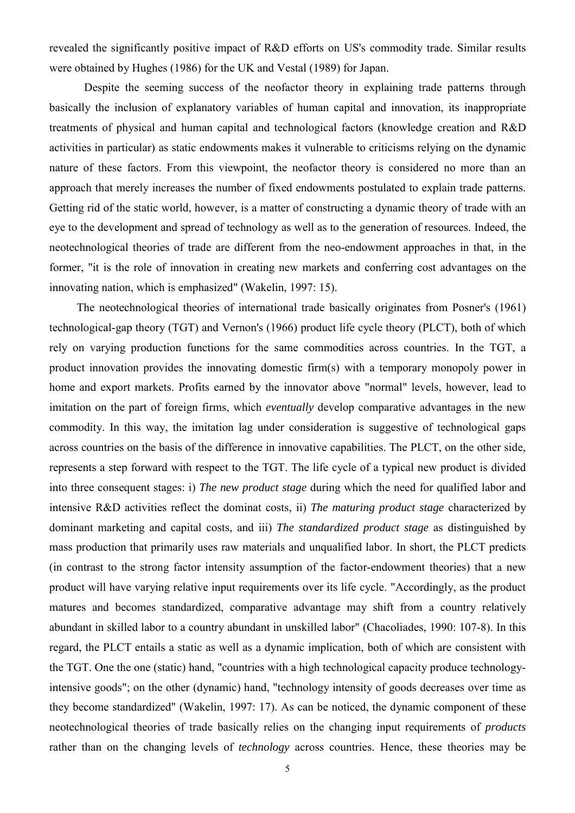revealed the significantly positive impact of R&D efforts on US's commodity trade. Similar results were obtained by Hughes (1986) for the UK and Vestal (1989) for Japan.

Despite the seeming success of the neofactor theory in explaining trade patterns through basically the inclusion of explanatory variables of human capital and innovation, its inappropriate treatments of physical and human capital and technological factors (knowledge creation and R&D activities in particular) as static endowments makes it vulnerable to criticisms relying on the dynamic nature of these factors. From this viewpoint, the neofactor theory is considered no more than an approach that merely increases the number of fixed endowments postulated to explain trade patterns. Getting rid of the static world, however, is a matter of constructing a dynamic theory of trade with an eye to the development and spread of technology as well as to the generation of resources. Indeed, the neotechnological theories of trade are different from the neo-endowment approaches in that, in the former, "it is the role of innovation in creating new markets and conferring cost advantages on the innovating nation, which is emphasized" (Wakelin, 1997: 15).

The neotechnological theories of international trade basically originates from Posner's (1961) technological-gap theory (TGT) and Vernon's (1966) product life cycle theory (PLCT), both of which rely on varying production functions for the same commodities across countries. In the TGT, a product innovation provides the innovating domestic firm(s) with a temporary monopoly power in home and export markets. Profits earned by the innovator above "normal" levels, however, lead to imitation on the part of foreign firms, which *eventually* develop comparative advantages in the new commodity. In this way, the imitation lag under consideration is suggestive of technological gaps across countries on the basis of the difference in innovative capabilities. The PLCT, on the other side, represents a step forward with respect to the TGT. The life cycle of a typical new product is divided into three consequent stages: i) *The new product stage* during which the need for qualified labor and intensive R&D activities reflect the dominat costs, ii) *The maturing product stage* characterized by dominant marketing and capital costs, and iii) *The standardized product stage* as distinguished by mass production that primarily uses raw materials and unqualified labor. In short, the PLCT predicts (in contrast to the strong factor intensity assumption of the factor-endowment theories) that a new product will have varying relative input requirements over its life cycle. "Accordingly, as the product matures and becomes standardized, comparative advantage may shift from a country relatively abundant in skilled labor to a country abundant in unskilled labor" (Chacoliades, 1990: 107-8). In this regard, the PLCT entails a static as well as a dynamic implication, both of which are consistent with the TGT. One the one (static) hand, "countries with a high technological capacity produce technologyintensive goods"; on the other (dynamic) hand, "technology intensity of goods decreases over time as they become standardized" (Wakelin, 1997: 17). As can be noticed, the dynamic component of these neotechnological theories of trade basically relies on the changing input requirements of *products* rather than on the changing levels of *technology* across countries. Hence, these theories may be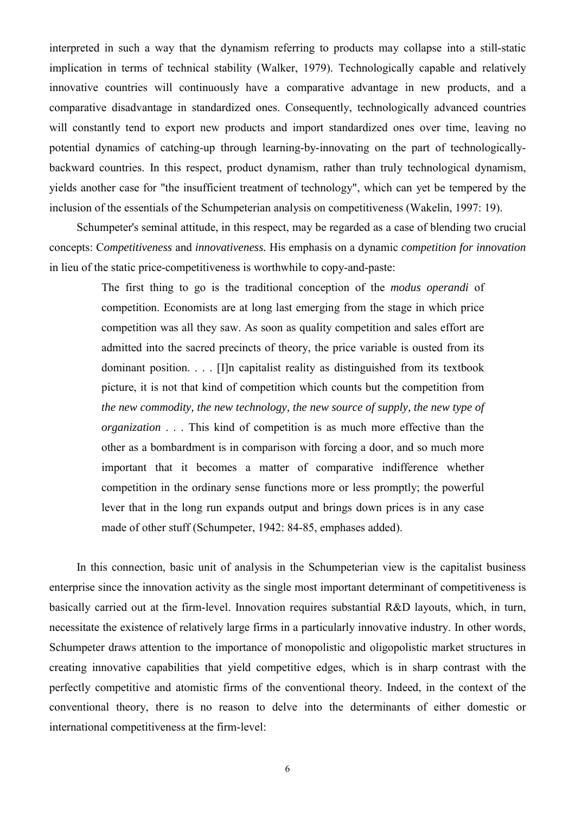interpreted in such a way that the dynamism referring to products may collapse into a still-static implication in terms of technical stability (Walker, 1979). Technologically capable and relatively innovative countries will continuously have a comparative advantage in new products, and a comparative disadvantage in standardized ones. Consequently, technologically advanced countries will constantly tend to export new products and import standardized ones over time, leaving no potential dynamics of catching-up through learning-by-innovating on the part of technologicallybackward countries. In this respect, product dynamism, rather than truly technological dynamism, yields another case for "the insufficient treatment of technology", which can yet be tempered by the inclusion of the essentials of the Schumpeterian analysis on competitiveness (Wakelin, 1997: 19).

Schumpeter's seminal attitude, in this respect, may be regarded as a case of blending two crucial concepts: C*ompetitiveness* and *innovativeness.* His emphasis on a dynamic *competition for innovation* in lieu of the static price-competitiveness is worthwhile to copy-and-paste:

> The first thing to go is the traditional conception of the *modus operandi* of competition. Economists are at long last emerging from the stage in which price competition was all they saw. As soon as quality competition and sales effort are admitted into the sacred precincts of theory, the price variable is ousted from its dominant position. . . . [I]n capitalist reality as distinguished from its textbook picture, it is not that kind of competition which counts but the competition from *the new commodity, the new technology, the new source of supply, the new type of organization* . . . This kind of competition is as much more effective than the other as a bombardment is in comparison with forcing a door, and so much more important that it becomes a matter of comparative indifference whether competition in the ordinary sense functions more or less promptly; the powerful lever that in the long run expands output and brings down prices is in any case made of other stuff (Schumpeter, 1942: 84-85, emphases added).

In this connection, basic unit of analysis in the Schumpeterian view is the capitalist business enterprise since the innovation activity as the single most important determinant of competitiveness is basically carried out at the firm-level. Innovation requires substantial R&D layouts, which, in turn, necessitate the existence of relatively large firms in a particularly innovative industry. In other words, Schumpeter draws attention to the importance of monopolistic and oligopolistic market structures in creating innovative capabilities that yield competitive edges, which is in sharp contrast with the perfectly competitive and atomistic firms of the conventional theory. Indeed, in the context of the conventional theory, there is no reason to delve into the determinants of either domestic or international competitiveness at the firm-level: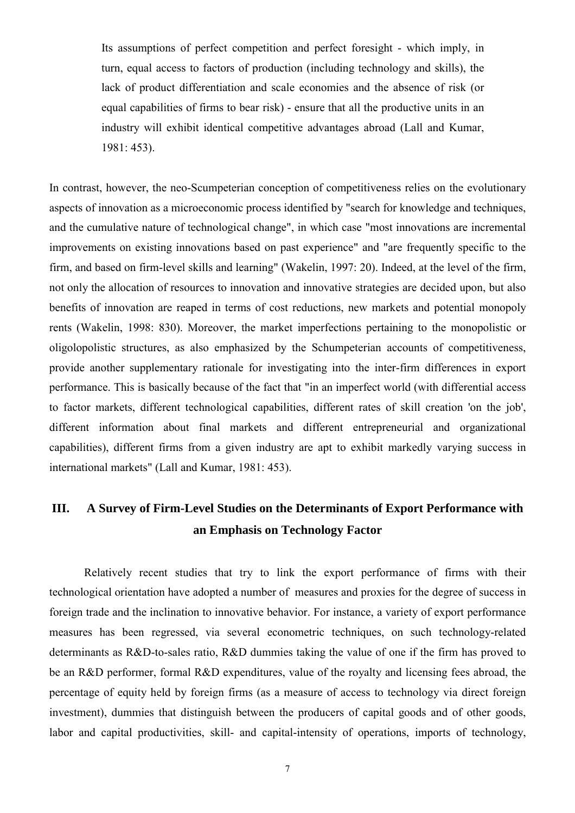Its assumptions of perfect competition and perfect foresight - which imply, in turn, equal access to factors of production (including technology and skills), the lack of product differentiation and scale economies and the absence of risk (or equal capabilities of firms to bear risk) - ensure that all the productive units in an industry will exhibit identical competitive advantages abroad (Lall and Kumar, 1981: 453).

In contrast, however, the neo-Scumpeterian conception of competitiveness relies on the evolutionary aspects of innovation as a microeconomic process identified by "search for knowledge and techniques, and the cumulative nature of technological change", in which case "most innovations are incremental improvements on existing innovations based on past experience" and "are frequently specific to the firm, and based on firm-level skills and learning" (Wakelin, 1997: 20). Indeed, at the level of the firm, not only the allocation of resources to innovation and innovative strategies are decided upon, but also benefits of innovation are reaped in terms of cost reductions, new markets and potential monopoly rents (Wakelin, 1998: 830). Moreover, the market imperfections pertaining to the monopolistic or oligolopolistic structures, as also emphasized by the Schumpeterian accounts of competitiveness, provide another supplementary rationale for investigating into the inter-firm differences in export performance. This is basically because of the fact that "in an imperfect world (with differential access to factor markets, different technological capabilities, different rates of skill creation 'on the job', different information about final markets and different entrepreneurial and organizational capabilities), different firms from a given industry are apt to exhibit markedly varying success in international markets" (Lall and Kumar, 1981: 453).

# **III. A Survey of Firm-Level Studies on the Determinants of Export Performance with an Emphasis on Technology Factor**

Relatively recent studies that try to link the export performance of firms with their technological orientation have adopted a number of measures and proxies for the degree of success in foreign trade and the inclination to innovative behavior. For instance, a variety of export performance measures has been regressed, via several econometric techniques, on such technology-related determinants as R&D-to-sales ratio, R&D dummies taking the value of one if the firm has proved to be an R&D performer, formal R&D expenditures, value of the royalty and licensing fees abroad, the percentage of equity held by foreign firms (as a measure of access to technology via direct foreign investment), dummies that distinguish between the producers of capital goods and of other goods, labor and capital productivities, skill- and capital-intensity of operations, imports of technology,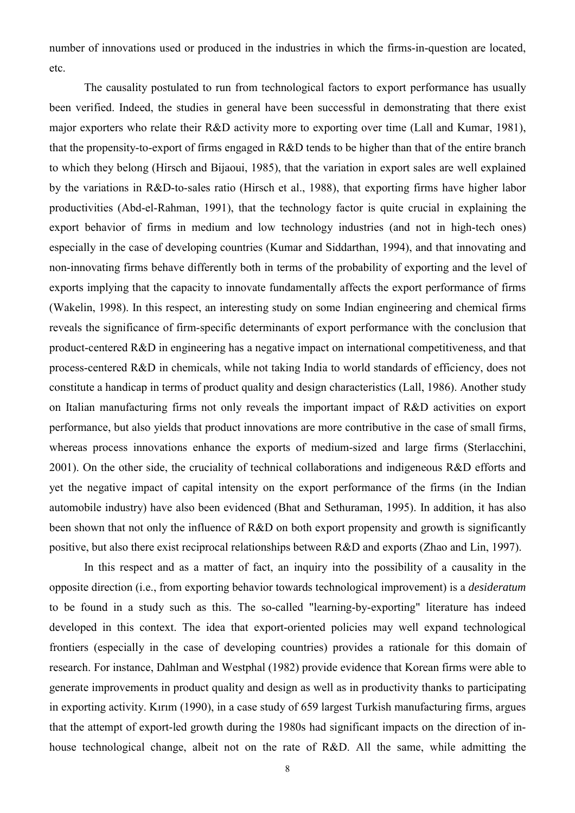number of innovations used or produced in the industries in which the firms-in-question are located, etc.

The causality postulated to run from technological factors to export performance has usually been verified. Indeed, the studies in general have been successful in demonstrating that there exist major exporters who relate their R&D activity more to exporting over time (Lall and Kumar, 1981), that the propensity-to-export of firms engaged in R&D tends to be higher than that of the entire branch to which they belong (Hirsch and Bijaoui, 1985), that the variation in export sales are well explained by the variations in R&D-to-sales ratio (Hirsch et al., 1988), that exporting firms have higher labor productivities (Abd-el-Rahman, 1991), that the technology factor is quite crucial in explaining the export behavior of firms in medium and low technology industries (and not in high-tech ones) especially in the case of developing countries (Kumar and Siddarthan, 1994), and that innovating and non-innovating firms behave differently both in terms of the probability of exporting and the level of exports implying that the capacity to innovate fundamentally affects the export performance of firms (Wakelin, 1998). In this respect, an interesting study on some Indian engineering and chemical firms reveals the significance of firm-specific determinants of export performance with the conclusion that product-centered R&D in engineering has a negative impact on international competitiveness, and that process-centered R&D in chemicals, while not taking India to world standards of efficiency, does not constitute a handicap in terms of product quality and design characteristics (Lall, 1986). Another study on Italian manufacturing firms not only reveals the important impact of R&D activities on export performance, but also yields that product innovations are more contributive in the case of small firms, whereas process innovations enhance the exports of medium-sized and large firms (Sterlacchini, 2001). On the other side, the cruciality of technical collaborations and indigeneous R&D efforts and yet the negative impact of capital intensity on the export performance of the firms (in the Indian automobile industry) have also been evidenced (Bhat and Sethuraman, 1995). In addition, it has also been shown that not only the influence of R&D on both export propensity and growth is significantly positive, but also there exist reciprocal relationships between R&D and exports (Zhao and Lin, 1997).

In this respect and as a matter of fact, an inquiry into the possibility of a causality in the opposite direction (i.e., from exporting behavior towards technological improvement) is a *desideratum* to be found in a study such as this. The so-called "learning-by-exporting" literature has indeed developed in this context. The idea that export-oriented policies may well expand technological frontiers (especially in the case of developing countries) provides a rationale for this domain of research. For instance, Dahlman and Westphal (1982) provide evidence that Korean firms were able to generate improvements in product quality and design as well as in productivity thanks to participating in exporting activity. Kırım (1990), in a case study of 659 largest Turkish manufacturing firms, argues that the attempt of export-led growth during the 1980s had significant impacts on the direction of inhouse technological change, albeit not on the rate of R&D. All the same, while admitting the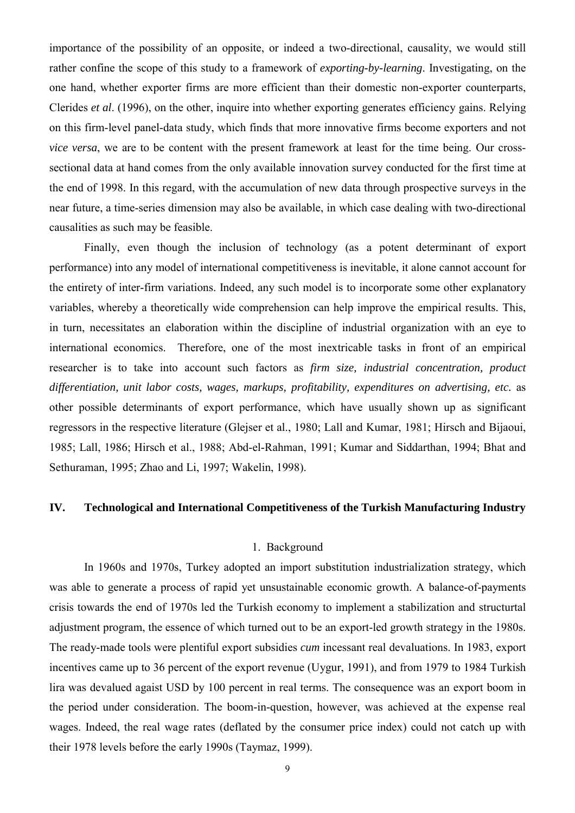importance of the possibility of an opposite, or indeed a two-directional, causality, we would still rather confine the scope of this study to a framework of *exporting-by-learning*. Investigating, on the one hand, whether exporter firms are more efficient than their domestic non-exporter counterparts, Clerides *et al*. (1996), on the other, inquire into whether exporting generates efficiency gains. Relying on this firm-level panel-data study, which finds that more innovative firms become exporters and not *vice versa*, we are to be content with the present framework at least for the time being. Our crosssectional data at hand comes from the only available innovation survey conducted for the first time at the end of 1998. In this regard, with the accumulation of new data through prospective surveys in the near future, a time-series dimension may also be available, in which case dealing with two-directional causalities as such may be feasible.

Finally, even though the inclusion of technology (as a potent determinant of export performance) into any model of international competitiveness is inevitable, it alone cannot account for the entirety of inter-firm variations. Indeed, any such model is to incorporate some other explanatory variables, whereby a theoretically wide comprehension can help improve the empirical results. This, in turn, necessitates an elaboration within the discipline of industrial organization with an eye to international economics. Therefore, one of the most inextricable tasks in front of an empirical researcher is to take into account such factors as *firm size, industrial concentration, product differentiation, unit labor costs, wages, markups, profitability, expenditures on advertising, etc.* as other possible determinants of export performance, which have usually shown up as significant regressors in the respective literature (Glejser et al., 1980; Lall and Kumar, 1981; Hirsch and Bijaoui, 1985; Lall, 1986; Hirsch et al., 1988; Abd-el-Rahman, 1991; Kumar and Siddarthan, 1994; Bhat and Sethuraman, 1995; Zhao and Li, 1997; Wakelin, 1998).

### **IV. Technological and International Competitiveness of the Turkish Manufacturing Industry**

## 1. Background

In 1960s and 1970s, Turkey adopted an import substitution industrialization strategy, which was able to generate a process of rapid yet unsustainable economic growth. A balance-of-payments crisis towards the end of 1970s led the Turkish economy to implement a stabilization and structurtal adjustment program, the essence of which turned out to be an export-led growth strategy in the 1980s. The ready-made tools were plentiful export subsidies *cum* incessant real devaluations. In 1983, export incentives came up to 36 percent of the export revenue (Uygur, 1991), and from 1979 to 1984 Turkish lira was devalued agaist USD by 100 percent in real terms. The consequence was an export boom in the period under consideration. The boom-in-question, however, was achieved at the expense real wages. Indeed, the real wage rates (deflated by the consumer price index) could not catch up with their 1978 levels before the early 1990s (Taymaz, 1999).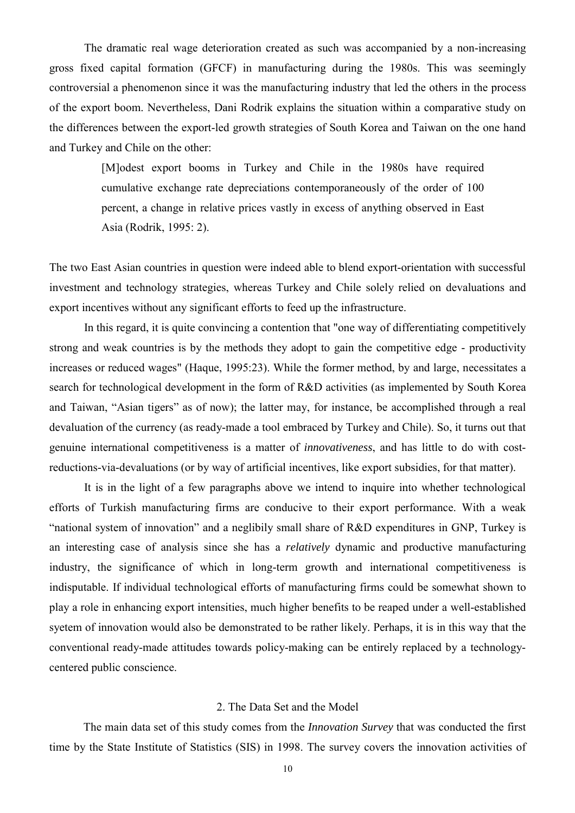The dramatic real wage deterioration created as such was accompanied by a non-increasing gross fixed capital formation (GFCF) in manufacturing during the 1980s. This was seemingly controversial a phenomenon since it was the manufacturing industry that led the others in the process of the export boom. Nevertheless, Dani Rodrik explains the situation within a comparative study on the differences between the export-led growth strategies of South Korea and Taiwan on the one hand and Turkey and Chile on the other:

> [M]odest export booms in Turkey and Chile in the 1980s have required cumulative exchange rate depreciations contemporaneously of the order of 100 percent, a change in relative prices vastly in excess of anything observed in East Asia (Rodrik, 1995: 2).

The two East Asian countries in question were indeed able to blend export-orientation with successful investment and technology strategies, whereas Turkey and Chile solely relied on devaluations and export incentives without any significant efforts to feed up the infrastructure.

In this regard, it is quite convincing a contention that "one way of differentiating competitively strong and weak countries is by the methods they adopt to gain the competitive edge - productivity increases or reduced wages" (Haque, 1995:23). While the former method, by and large, necessitates a search for technological development in the form of R&D activities (as implemented by South Korea and Taiwan, "Asian tigers" as of now); the latter may, for instance, be accomplished through a real devaluation of the currency (as ready-made a tool embraced by Turkey and Chile). So, it turns out that genuine international competitiveness is a matter of *innovativeness*, and has little to do with costreductions-via-devaluations (or by way of artificial incentives, like export subsidies, for that matter).

It is in the light of a few paragraphs above we intend to inquire into whether technological efforts of Turkish manufacturing firms are conducive to their export performance. With a weak "national system of innovation" and a neglibily small share of R&D expenditures in GNP, Turkey is an interesting case of analysis since she has a *relatively* dynamic and productive manufacturing industry, the significance of which in long-term growth and international competitiveness is indisputable. If individual technological efforts of manufacturing firms could be somewhat shown to play a role in enhancing export intensities, much higher benefits to be reaped under a well-established syetem of innovation would also be demonstrated to be rather likely. Perhaps, it is in this way that the conventional ready-made attitudes towards policy-making can be entirely replaced by a technologycentered public conscience.

#### 2. The Data Set and the Model

The main data set of this study comes from the *Innovation Survey* that was conducted the first time by the State Institute of Statistics (SIS) in 1998. The survey covers the innovation activities of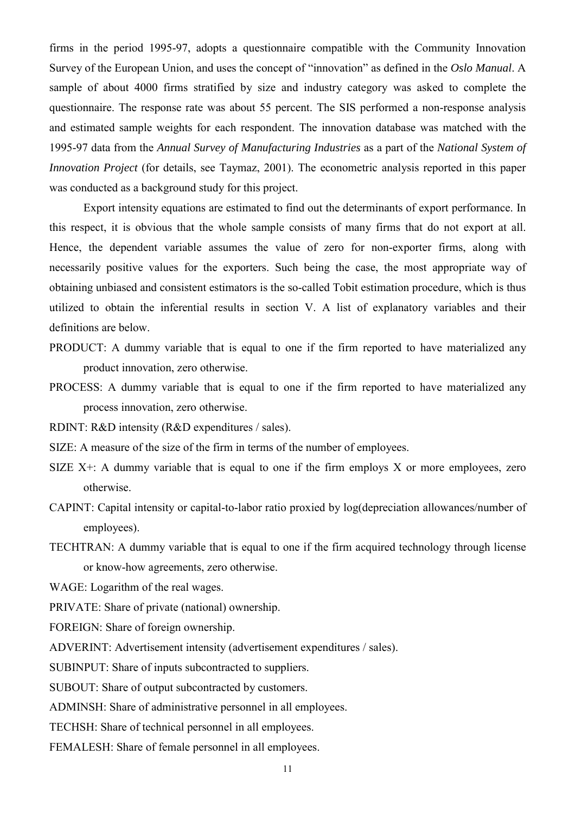firms in the period 1995-97, adopts a questionnaire compatible with the Community Innovation Survey of the European Union, and uses the concept of "innovation" as defined in the *Oslo Manual*. A sample of about 4000 firms stratified by size and industry category was asked to complete the questionnaire. The response rate was about 55 percent. The SIS performed a non-response analysis and estimated sample weights for each respondent. The innovation database was matched with the 1995-97 data from the *Annual Survey of Manufacturing Industries* as a part of the *National System of Innovation Project* (for details, see Taymaz, 2001). The econometric analysis reported in this paper was conducted as a background study for this project.

Export intensity equations are estimated to find out the determinants of export performance. In this respect, it is obvious that the whole sample consists of many firms that do not export at all. Hence, the dependent variable assumes the value of zero for non-exporter firms, along with necessarily positive values for the exporters. Such being the case, the most appropriate way of obtaining unbiased and consistent estimators is the so-called Tobit estimation procedure, which is thus utilized to obtain the inferential results in section V. A list of explanatory variables and their definitions are below.

- PRODUCT: A dummy variable that is equal to one if the firm reported to have materialized any product innovation, zero otherwise.
- PROCESS: A dummy variable that is equal to one if the firm reported to have materialized any process innovation, zero otherwise.
- RDINT: R&D intensity (R&D expenditures / sales).
- SIZE: A measure of the size of the firm in terms of the number of employees.
- SIZE  $X^+$ : A dummy variable that is equal to one if the firm employs X or more employees, zero otherwise.
- CAPINT: Capital intensity or capital-to-labor ratio proxied by log(depreciation allowances/number of employees).
- TECHTRAN: A dummy variable that is equal to one if the firm acquired technology through license or know-how agreements, zero otherwise.

WAGE: Logarithm of the real wages.

PRIVATE: Share of private (national) ownership.

FOREIGN: Share of foreign ownership.

ADVERINT: Advertisement intensity (advertisement expenditures / sales).

SUBINPUT: Share of inputs subcontracted to suppliers.

SUBOUT: Share of output subcontracted by customers.

ADMINSH: Share of administrative personnel in all employees.

TECHSH: Share of technical personnel in all employees.

FEMALESH: Share of female personnel in all employees.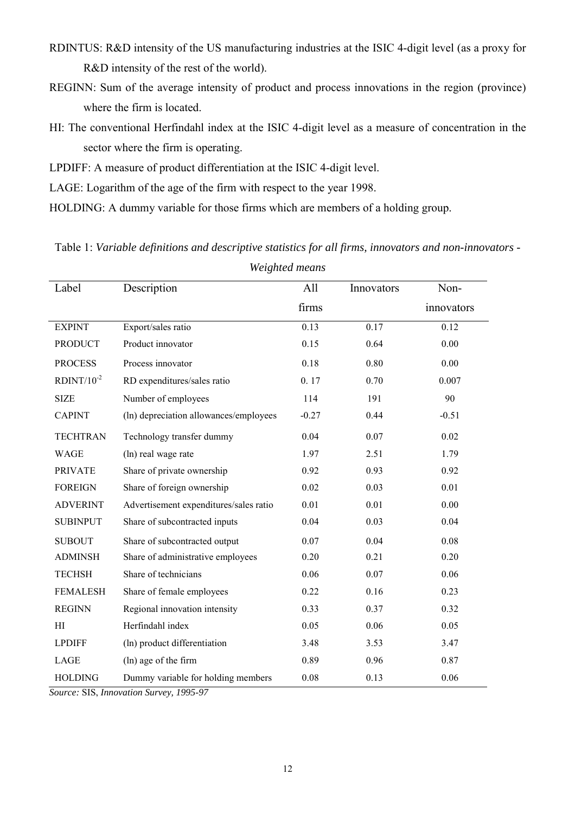- RDINTUS: R&D intensity of the US manufacturing industries at the ISIC 4-digit level (as a proxy for R&D intensity of the rest of the world).
- REGINN: Sum of the average intensity of product and process innovations in the region (province) where the firm is located.
- HI: The conventional Herfindahl index at the ISIC 4-digit level as a measure of concentration in the sector where the firm is operating.
- LPDIFF: A measure of product differentiation at the ISIC 4-digit level.
- LAGE: Logarithm of the age of the firm with respect to the year 1998.
- HOLDING: A dummy variable for those firms which are members of a holding group.

Label Description All firms Innovators Noninnovators EXPINT Export/sales ratio 0.13 0.17 0.12 PRODUCT Product innovator 0.15 0.64 0.00 PROCESS Process innovator 0.18 0.80 0.00 RDINT/10<sup>-2</sup> RD expenditures/sales ratio  $0.17$  0.70 0.007 SIZE Number of employees 114 191 90 CAPINT (ln) depreciation allowances/employees -0.27 0.44 -0.51 TECHTRAN Technology transfer dummy 0.04 0.07 0.02 WAGE (ln) real wage rate  $1.97$  2.51 1.79 PRIVATE Share of private ownership 0.92 0.93 0.92 0.92 FOREIGN Share of foreign ownership 0.02 0.03 0.01 ADVERINT Advertisement expenditures/sales ratio  $0.01$  0.01 0.00 SUBINPUT Share of subcontracted inputs 0.04 0.03 0.04 0.03 SUBOUT Share of subcontracted output 0.07 0.04 0.08 ADMINSH Share of administrative employees 0.20 0.21 0.20 TECHSH Share of technicians 0.06 0.07 0.06 FEMALESH Share of female employees 0.22 0.16 0.23 REGINN Regional innovation intensity 0.33 0.37 0.32 HI Herfindahl index 0.05 0.06 0.05 0.06 LPDIFF (ln) product differentiation  $3.48$   $3.53$   $3.47$ LAGE (ln) age of the firm 0.89 0.96 0.87 HOLDING Dummy variable for holding members 0.08 0.13 0.06

Table 1: *Variable definitions and descriptive statistics for all firms, innovators and non-innovators -*

*Weighted means*

*Source:* SIS, *Innovation Survey, 1995-97*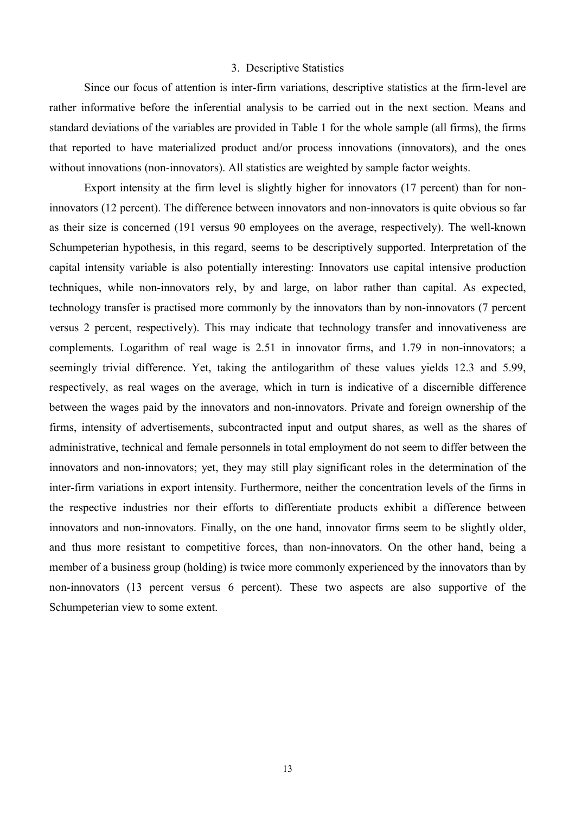#### 3. Descriptive Statistics

Since our focus of attention is inter-firm variations, descriptive statistics at the firm-level are rather informative before the inferential analysis to be carried out in the next section. Means and standard deviations of the variables are provided in Table 1 for the whole sample (all firms), the firms that reported to have materialized product and/or process innovations (innovators), and the ones without innovations (non-innovators). All statistics are weighted by sample factor weights.

Export intensity at the firm level is slightly higher for innovators (17 percent) than for noninnovators (12 percent). The difference between innovators and non-innovators is quite obvious so far as their size is concerned (191 versus 90 employees on the average, respectively). The well-known Schumpeterian hypothesis, in this regard, seems to be descriptively supported. Interpretation of the capital intensity variable is also potentially interesting: Innovators use capital intensive production techniques, while non-innovators rely, by and large, on labor rather than capital. As expected, technology transfer is practised more commonly by the innovators than by non-innovators (7 percent versus 2 percent, respectively). This may indicate that technology transfer and innovativeness are complements. Logarithm of real wage is 2.51 in innovator firms, and 1.79 in non-innovators; a seemingly trivial difference. Yet, taking the antilogarithm of these values yields 12.3 and 5.99, respectively, as real wages on the average, which in turn is indicative of a discernible difference between the wages paid by the innovators and non-innovators. Private and foreign ownership of the firms, intensity of advertisements, subcontracted input and output shares, as well as the shares of administrative, technical and female personnels in total employment do not seem to differ between the innovators and non-innovators; yet, they may still play significant roles in the determination of the inter-firm variations in export intensity. Furthermore, neither the concentration levels of the firms in the respective industries nor their efforts to differentiate products exhibit a difference between innovators and non-innovators. Finally, on the one hand, innovator firms seem to be slightly older, and thus more resistant to competitive forces, than non-innovators. On the other hand, being a member of a business group (holding) is twice more commonly experienced by the innovators than by non-innovators (13 percent versus 6 percent). These two aspects are also supportive of the Schumpeterian view to some extent.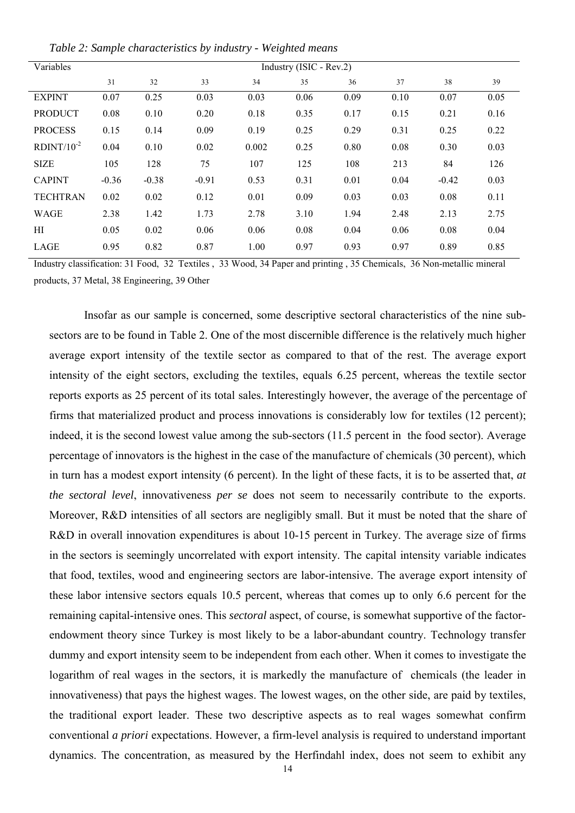| Variables       | Industry (ISIC - Rev.2) |         |         |       |      |      |      |         |      |
|-----------------|-------------------------|---------|---------|-------|------|------|------|---------|------|
|                 | 31                      | 32      | 33      | 34    | 35   | 36   | 37   | 38      | 39   |
| <b>EXPINT</b>   | 0.07                    | 0.25    | 0.03    | 0.03  | 0.06 | 0.09 | 0.10 | 0.07    | 0.05 |
| <b>PRODUCT</b>  | 0.08                    | 0.10    | 0.20    | 0.18  | 0.35 | 0.17 | 0.15 | 0.21    | 0.16 |
| <b>PROCESS</b>  | 0.15                    | 0.14    | 0.09    | 0.19  | 0.25 | 0.29 | 0.31 | 0.25    | 0.22 |
| $RDINT/10^{-2}$ | 0.04                    | 0.10    | 0.02    | 0.002 | 0.25 | 0.80 | 0.08 | 0.30    | 0.03 |
| <b>SIZE</b>     | 105                     | 128     | 75      | 107   | 125  | 108  | 213  | 84      | 126  |
| <b>CAPINT</b>   | $-0.36$                 | $-0.38$ | $-0.91$ | 0.53  | 0.31 | 0.01 | 0.04 | $-0.42$ | 0.03 |
| <b>TECHTRAN</b> | 0.02                    | 0.02    | 0.12    | 0.01  | 0.09 | 0.03 | 0.03 | 0.08    | 0.11 |
| WAGE            | 2.38                    | 1.42    | 1.73    | 2.78  | 3.10 | 1.94 | 2.48 | 2.13    | 2.75 |
| НI              | 0.05                    | 0.02    | 0.06    | 0.06  | 0.08 | 0.04 | 0.06 | 0.08    | 0.04 |
| LAGE            | 0.95                    | 0.82    | 0.87    | 1.00  | 0.97 | 0.93 | 0.97 | 0.89    | 0.85 |

*Table 2: Sample characteristics by industry - Weighted means*

Industry classification: 31 Food, 32 Textiles , 33 Wood, 34 Paper and printing , 35 Chemicals, 36 Non-metallic mineral products, 37 Metal, 38 Engineering, 39 Other

Insofar as our sample is concerned, some descriptive sectoral characteristics of the nine subsectors are to be found in Table 2. One of the most discernible difference is the relatively much higher average export intensity of the textile sector as compared to that of the rest. The average export intensity of the eight sectors, excluding the textiles, equals 6.25 percent, whereas the textile sector reports exports as 25 percent of its total sales. Interestingly however, the average of the percentage of firms that materialized product and process innovations is considerably low for textiles (12 percent); indeed, it is the second lowest value among the sub-sectors (11.5 percent in the food sector). Average percentage of innovators is the highest in the case of the manufacture of chemicals (30 percent), which in turn has a modest export intensity (6 percent). In the light of these facts, it is to be asserted that, *at the sectoral level*, innovativeness *per se* does not seem to necessarily contribute to the exports. Moreover, R&D intensities of all sectors are negligibly small. But it must be noted that the share of R&D in overall innovation expenditures is about 10-15 percent in Turkey. The average size of firms in the sectors is seemingly uncorrelated with export intensity. The capital intensity variable indicates that food, textiles, wood and engineering sectors are labor-intensive. The average export intensity of these labor intensive sectors equals 10.5 percent, whereas that comes up to only 6.6 percent for the remaining capital-intensive ones. This *sectoral* aspect, of course, is somewhat supportive of the factorendowment theory since Turkey is most likely to be a labor-abundant country. Technology transfer dummy and export intensity seem to be independent from each other. When it comes to investigate the logarithm of real wages in the sectors, it is markedly the manufacture of chemicals (the leader in innovativeness) that pays the highest wages. The lowest wages, on the other side, are paid by textiles, the traditional export leader. These two descriptive aspects as to real wages somewhat confirm conventional *a priori* expectations. However, a firm-level analysis is required to understand important dynamics. The concentration, as measured by the Herfindahl index, does not seem to exhibit any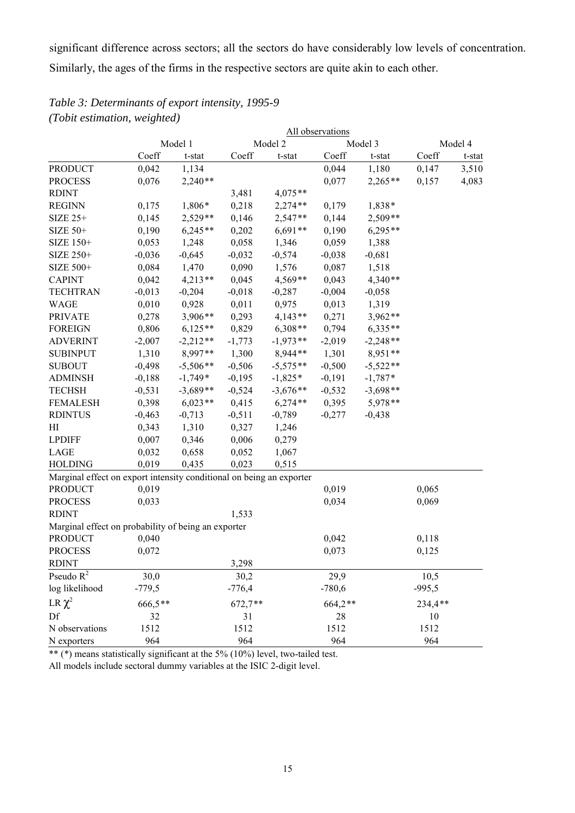significant difference across sectors; all the sectors do have considerably low levels of concentration. Similarly, the ages of the firms in the respective sectors are quite akin to each other.

## *Table 3: Determinants of export intensity, 1995-9 (Tobit estimation, weighted)*

|                                                                      |          | All observations |           |            |          |            |          |         |  |
|----------------------------------------------------------------------|----------|------------------|-----------|------------|----------|------------|----------|---------|--|
|                                                                      |          | Model 1          |           | Model 2    |          | Model 3    |          | Model 4 |  |
|                                                                      | Coeff    | t-stat           | Coeff     | t-stat     | Coeff    | t-stat     | Coeff    | t-stat  |  |
| <b>PRODUCT</b>                                                       | 0,042    | 1,134            |           |            | 0,044    | 1,180      | 0,147    | 3,510   |  |
| <b>PROCESS</b>                                                       | 0,076    | $2,240**$        |           |            | 0,077    | $2,265**$  | 0,157    | 4,083   |  |
| <b>RDINT</b>                                                         |          |                  | 3,481     | $4,075**$  |          |            |          |         |  |
| <b>REGINN</b>                                                        | 0,175    | 1,806*           | 0,218     | $2,274**$  | 0,179    | 1,838*     |          |         |  |
| SIZE 25+                                                             | 0,145    | $2,529**$        | 0,146     | 2,547**    | 0,144    | $2,509**$  |          |         |  |
| SIZE 50+                                                             | 0,190    | $6,245**$        | 0,202     | $6,691**$  | 0,190    | $6,295**$  |          |         |  |
| SIZE 150+                                                            | 0,053    | 1,248            | 0,058     | 1,346      | 0,059    | 1,388      |          |         |  |
| SIZE 250+                                                            | $-0,036$ | $-0,645$         | $-0,032$  | $-0,574$   | $-0,038$ | $-0,681$   |          |         |  |
| SIZE 500+                                                            | 0,084    | 1,470            | 0,090     | 1,576      | 0,087    | 1,518      |          |         |  |
| <b>CAPINT</b>                                                        | 0,042    | $4,213**$        | 0,045     | $4,569**$  | 0,043    | $4,340**$  |          |         |  |
| <b>TECHTRAN</b>                                                      | $-0,013$ | $-0,204$         | $-0,018$  | $-0,287$   | $-0,004$ | $-0,058$   |          |         |  |
| <b>WAGE</b>                                                          | 0,010    | 0,928            | 0,011     | 0,975      | 0,013    | 1,319      |          |         |  |
| <b>PRIVATE</b>                                                       | 0,278    | 3,906**          | 0,293     | $4,143**$  | 0,271    | $3,962**$  |          |         |  |
| <b>FOREIGN</b>                                                       | 0,806    | $6,125**$        | 0,829     | $6,308**$  | 0,794    | $6,335**$  |          |         |  |
| <b>ADVERINT</b>                                                      | $-2,007$ | $-2,212**$       | $-1,773$  | $-1,973**$ | $-2,019$ | $-2,248**$ |          |         |  |
| <b>SUBINPUT</b>                                                      | 1,310    | 8,997**          | 1,300     | 8,944**    | 1,301    | 8,951**    |          |         |  |
| <b>SUBOUT</b>                                                        | $-0,498$ | $-5,506**$       | $-0,506$  | $-5,575**$ | $-0,500$ | $-5,522**$ |          |         |  |
| <b>ADMINSH</b>                                                       | $-0,188$ | $-1,749*$        | $-0,195$  | $-1,825*$  | $-0,191$ | $-1,787*$  |          |         |  |
| <b>TECHSH</b>                                                        | $-0,531$ | $-3,689**$       | $-0,524$  | $-3,676**$ | $-0,532$ | $-3,698**$ |          |         |  |
| <b>FEMALESH</b>                                                      | 0,398    | $6,023**$        | 0,415     | $6,274**$  | 0,395    | 5,978**    |          |         |  |
| <b>RDINTUS</b>                                                       | $-0,463$ | $-0,713$         | $-0,511$  | $-0,789$   | $-0,277$ | $-0,438$   |          |         |  |
| HI                                                                   | 0,343    | 1,310            | 0,327     | 1,246      |          |            |          |         |  |
| <b>LPDIFF</b>                                                        | 0,007    | 0,346            | 0,006     | 0,279      |          |            |          |         |  |
| LAGE                                                                 | 0,032    | 0,658            | 0,052     | 1,067      |          |            |          |         |  |
| <b>HOLDING</b>                                                       | 0,019    | 0,435            | 0,023     | 0,515      |          |            |          |         |  |
| Marginal effect on export intensity conditional on being an exporter |          |                  |           |            |          |            |          |         |  |
| <b>PRODUCT</b>                                                       | 0,019    |                  |           |            | 0,019    |            | 0,065    |         |  |
| <b>PROCESS</b>                                                       | 0,033    |                  |           |            | 0,034    |            | 0,069    |         |  |
| <b>RDINT</b>                                                         |          |                  | 1,533     |            |          |            |          |         |  |
| Marginal effect on probability of being an exporter                  |          |                  |           |            |          |            |          |         |  |
| <b>PRODUCT</b>                                                       | 0,040    |                  |           |            | 0,042    |            | 0,118    |         |  |
| <b>PROCESS</b>                                                       | 0,072    |                  |           |            | 0,073    |            | 0,125    |         |  |
| <b>RDINT</b>                                                         |          |                  | 3,298     |            |          |            |          |         |  |
| Pseudo $\mathbb{R}^2$                                                | 30,0     |                  | 30,2      |            | 29,9     |            | 10,5     |         |  |
| log likelihood                                                       | $-779,5$ |                  | $-776,4$  |            | $-780,6$ |            | $-995,5$ |         |  |
| LR $\chi^2$                                                          | 666,5**  |                  | $672,7**$ |            | 664,2**  |            | 234,4**  |         |  |
| Df                                                                   | 32       |                  | 31        |            | 28       |            | 10       |         |  |
| N observations                                                       | 1512     |                  | 1512      |            | 1512     |            | 1512     |         |  |
| N exporters                                                          | 964      |                  | 964       |            | 964      |            | 964      |         |  |

\*\* (\*) means statistically significant at the 5% (10%) level, two-tailed test.

All models include sectoral dummy variables at the ISIC 2-digit level.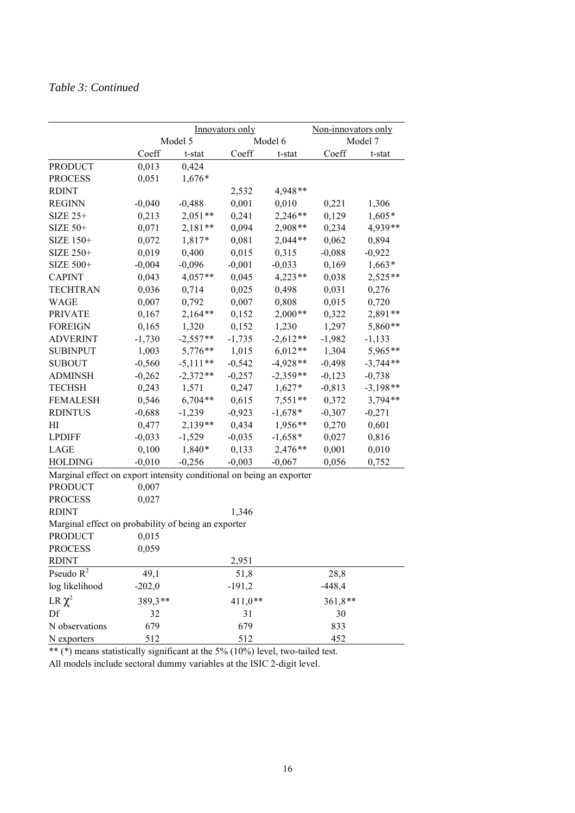## *Table 3: Continued*

|                                                     |                                  |                                                                 |                                            | Model 7                                          |                                                                                                                                            |  |  |  |
|-----------------------------------------------------|----------------------------------|-----------------------------------------------------------------|--------------------------------------------|--------------------------------------------------|--------------------------------------------------------------------------------------------------------------------------------------------|--|--|--|
|                                                     |                                  |                                                                 |                                            |                                                  | t-stat                                                                                                                                     |  |  |  |
|                                                     |                                  |                                                                 |                                            |                                                  |                                                                                                                                            |  |  |  |
|                                                     |                                  |                                                                 |                                            |                                                  |                                                                                                                                            |  |  |  |
|                                                     |                                  |                                                                 |                                            |                                                  |                                                                                                                                            |  |  |  |
| $-0,040$                                            |                                  | 0,001                                                           |                                            |                                                  | 1,306                                                                                                                                      |  |  |  |
|                                                     |                                  |                                                                 |                                            |                                                  | $1,605*$                                                                                                                                   |  |  |  |
| 0,071                                               | $2,181**$                        | 0,094                                                           | 2,908**                                    | 0,234                                            | 4,939**                                                                                                                                    |  |  |  |
| 0,072                                               | 1,817*                           | 0,081                                                           | $2,044**$                                  | 0,062                                            | 0,894                                                                                                                                      |  |  |  |
| 0,019                                               | 0,400                            | 0,015                                                           | 0,315                                      | $-0,088$                                         | $-0,922$                                                                                                                                   |  |  |  |
| $-0,004$                                            | $-0,096$                         | $-0,001$                                                        | $-0,033$                                   | 0,169                                            | $1,663*$                                                                                                                                   |  |  |  |
| 0,043                                               | $4,057**$                        | 0,045                                                           | $4,223**$                                  | 0,038                                            | 2,525**                                                                                                                                    |  |  |  |
| 0,036                                               | 0,714                            | 0,025                                                           | 0,498                                      | 0,031                                            | 0,276                                                                                                                                      |  |  |  |
| 0,007                                               | 0,792                            | 0,007                                                           | 0,808                                      | 0,015                                            | 0,720                                                                                                                                      |  |  |  |
| 0,167                                               | $2,164**$                        | 0,152                                                           | $2,000**$                                  | 0,322                                            | 2,891**                                                                                                                                    |  |  |  |
| 0,165                                               | 1,320                            | 0,152                                                           | 1,230                                      | 1,297                                            | 5,860**                                                                                                                                    |  |  |  |
| $-1,730$                                            | $-2,557**$                       | $-1,735$                                                        | $-2,612**$                                 | $-1,982$                                         | $-1,133$                                                                                                                                   |  |  |  |
| 1,003                                               | $5,776**$                        | 1,015                                                           | $6,012**$                                  | 1,304                                            | 5,965**                                                                                                                                    |  |  |  |
| $-0,560$                                            | $-5,111**$                       | $-0,542$                                                        | $-4,928**$                                 | $-0,498$                                         | $-3,744**$                                                                                                                                 |  |  |  |
| $-0,262$                                            | $-2,372**$                       | $-0,257$                                                        | $-2,359**$                                 | $-0,123$                                         | $-0,738$                                                                                                                                   |  |  |  |
| 0,243                                               | 1,571                            | 0,247                                                           | $1,627*$                                   | $-0,813$                                         | $-3,198**$                                                                                                                                 |  |  |  |
| 0,546                                               | $6,704**$                        | 0,615                                                           | $7,551**$                                  | 0,372                                            | $3,794**$                                                                                                                                  |  |  |  |
| $-0,688$                                            | $-1,239$                         | $-0,923$                                                        | $-1,678*$                                  | $-0,307$                                         | $-0,271$                                                                                                                                   |  |  |  |
| 0,477                                               | $2,139**$                        | 0,434                                                           | 1,956**                                    | 0,270                                            | 0,601                                                                                                                                      |  |  |  |
| $-0,033$                                            | $-1,529$                         | $-0,035$                                                        | $-1,658*$                                  | 0,027                                            | 0,816                                                                                                                                      |  |  |  |
| 0,100                                               | 1,840*                           | 0,133                                                           | 2,476**                                    | 0,001                                            | 0,010                                                                                                                                      |  |  |  |
| $-0,010$                                            | $-0,256$                         | $-0,003$                                                        | $-0,067$                                   | 0,056                                            | 0,752                                                                                                                                      |  |  |  |
|                                                     |                                  |                                                                 |                                            |                                                  |                                                                                                                                            |  |  |  |
| 0,007                                               |                                  |                                                                 |                                            |                                                  |                                                                                                                                            |  |  |  |
| 0,027                                               |                                  |                                                                 |                                            |                                                  |                                                                                                                                            |  |  |  |
|                                                     |                                  | 1,346                                                           |                                            |                                                  |                                                                                                                                            |  |  |  |
| Marginal effect on probability of being an exporter |                                  |                                                                 |                                            |                                                  |                                                                                                                                            |  |  |  |
| 0,015                                               |                                  |                                                                 |                                            |                                                  |                                                                                                                                            |  |  |  |
| 0,059                                               |                                  |                                                                 |                                            |                                                  |                                                                                                                                            |  |  |  |
|                                                     |                                  | 2,951                                                           |                                            |                                                  |                                                                                                                                            |  |  |  |
| 49,1                                                |                                  | 51,8                                                            |                                            |                                                  |                                                                                                                                            |  |  |  |
| $-202,0$                                            |                                  | $-191,2$                                                        |                                            |                                                  |                                                                                                                                            |  |  |  |
| 389,3**                                             |                                  | $411,0**$                                                       |                                            | $361,8**$                                        |                                                                                                                                            |  |  |  |
| 32                                                  |                                  | 31                                                              |                                            | 30                                               |                                                                                                                                            |  |  |  |
| 679                                                 |                                  | 679                                                             |                                            | 833                                              |                                                                                                                                            |  |  |  |
| 512                                                 |                                  | 512                                                             |                                            | 452                                              |                                                                                                                                            |  |  |  |
|                                                     | Coeff<br>0,013<br>0,051<br>0,213 | Model 5<br>t-stat<br>0,424<br>$1,676*$<br>$-0,488$<br>$2,051**$ | Innovators only<br>Coeff<br>2,532<br>0,241 | Model 6<br>t-stat<br>4,948**<br>0,010<br>2,246** | Non-innovators only<br>Coeff<br>0,221<br>0,129<br>Marginal effect on export intensity conditional on being an exporter<br>28,8<br>$-448,4$ |  |  |  |

\*\* (\*) means statistically significant at the 5% (10%) level, two-tailed test.

All models include sectoral dummy variables at the ISIC 2-digit level.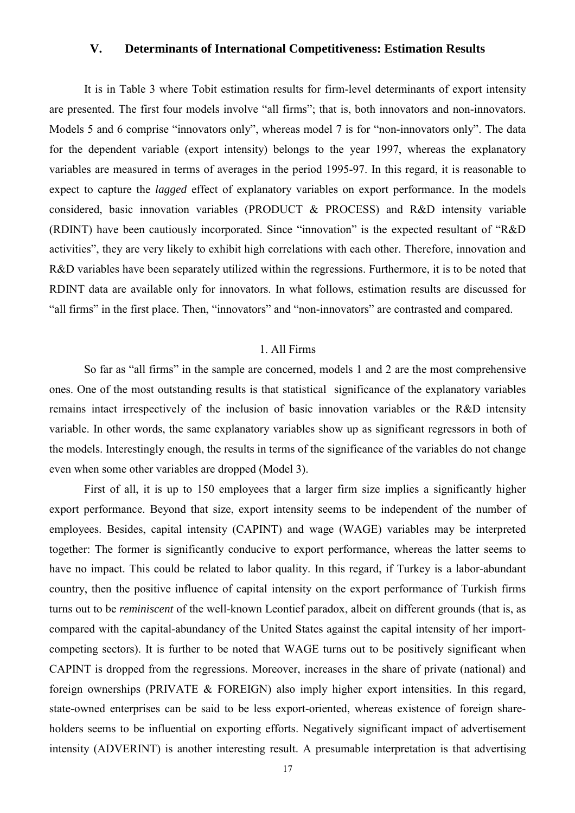## **V. Determinants of International Competitiveness: Estimation Results**

It is in Table 3 where Tobit estimation results for firm-level determinants of export intensity are presented. The first four models involve "all firms"; that is, both innovators and non-innovators. Models 5 and 6 comprise "innovators only", whereas model 7 is for "non-innovators only". The data for the dependent variable (export intensity) belongs to the year 1997, whereas the explanatory variables are measured in terms of averages in the period 1995-97. In this regard, it is reasonable to expect to capture the *lagged* effect of explanatory variables on export performance. In the models considered, basic innovation variables (PRODUCT & PROCESS) and R&D intensity variable (RDINT) have been cautiously incorporated. Since "innovation" is the expected resultant of "R&D activities", they are very likely to exhibit high correlations with each other. Therefore, innovation and R&D variables have been separately utilized within the regressions. Furthermore, it is to be noted that RDINT data are available only for innovators. In what follows, estimation results are discussed for "all firms" in the first place. Then, "innovators" and "non-innovators" are contrasted and compared.

### 1. All Firms

So far as "all firms" in the sample are concerned, models 1 and 2 are the most comprehensive ones. One of the most outstanding results is that statistical significance of the explanatory variables remains intact irrespectively of the inclusion of basic innovation variables or the R&D intensity variable. In other words, the same explanatory variables show up as significant regressors in both of the models. Interestingly enough, the results in terms of the significance of the variables do not change even when some other variables are dropped (Model 3).

First of all, it is up to 150 employees that a larger firm size implies a significantly higher export performance. Beyond that size, export intensity seems to be independent of the number of employees. Besides, capital intensity (CAPINT) and wage (WAGE) variables may be interpreted together: The former is significantly conducive to export performance, whereas the latter seems to have no impact. This could be related to labor quality. In this regard, if Turkey is a labor-abundant country, then the positive influence of capital intensity on the export performance of Turkish firms turns out to be *reminiscent* of the well-known Leontief paradox, albeit on different grounds (that is, as compared with the capital-abundancy of the United States against the capital intensity of her importcompeting sectors). It is further to be noted that WAGE turns out to be positively significant when CAPINT is dropped from the regressions. Moreover, increases in the share of private (national) and foreign ownerships (PRIVATE & FOREIGN) also imply higher export intensities. In this regard, state-owned enterprises can be said to be less export-oriented, whereas existence of foreign shareholders seems to be influential on exporting efforts. Negatively significant impact of advertisement intensity (ADVERINT) is another interesting result. A presumable interpretation is that advertising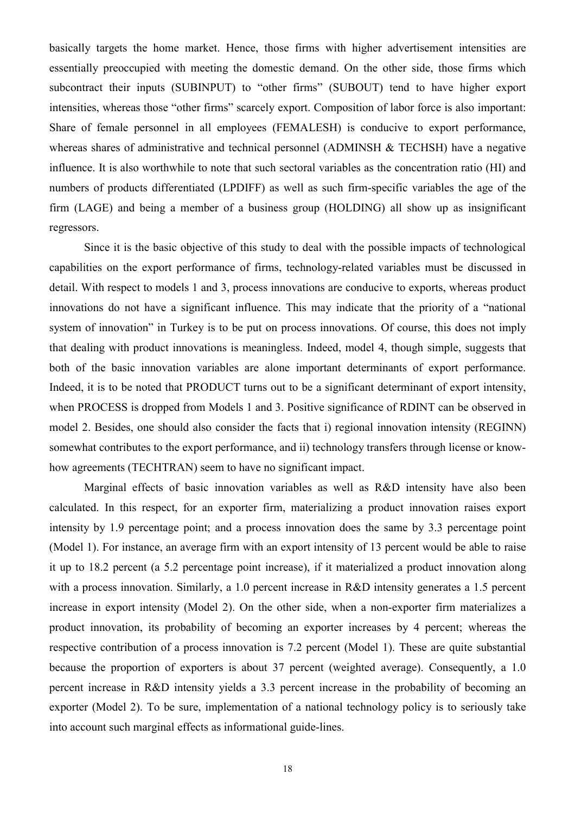basically targets the home market. Hence, those firms with higher advertisement intensities are essentially preoccupied with meeting the domestic demand. On the other side, those firms which subcontract their inputs (SUBINPUT) to "other firms" (SUBOUT) tend to have higher export intensities, whereas those "other firms" scarcely export. Composition of labor force is also important: Share of female personnel in all employees (FEMALESH) is conducive to export performance, whereas shares of administrative and technical personnel (ADMINSH & TECHSH) have a negative influence. It is also worthwhile to note that such sectoral variables as the concentration ratio (HI) and numbers of products differentiated (LPDIFF) as well as such firm-specific variables the age of the firm (LAGE) and being a member of a business group (HOLDING) all show up as insignificant regressors.

Since it is the basic objective of this study to deal with the possible impacts of technological capabilities on the export performance of firms, technology-related variables must be discussed in detail. With respect to models 1 and 3, process innovations are conducive to exports, whereas product innovations do not have a significant influence. This may indicate that the priority of a "national system of innovation" in Turkey is to be put on process innovations. Of course, this does not imply that dealing with product innovations is meaningless. Indeed, model 4, though simple, suggests that both of the basic innovation variables are alone important determinants of export performance. Indeed, it is to be noted that PRODUCT turns out to be a significant determinant of export intensity, when PROCESS is dropped from Models 1 and 3. Positive significance of RDINT can be observed in model 2. Besides, one should also consider the facts that i) regional innovation intensity (REGINN) somewhat contributes to the export performance, and ii) technology transfers through license or knowhow agreements (TECHTRAN) seem to have no significant impact.

Marginal effects of basic innovation variables as well as R&D intensity have also been calculated. In this respect, for an exporter firm, materializing a product innovation raises export intensity by 1.9 percentage point; and a process innovation does the same by 3.3 percentage point (Model 1). For instance, an average firm with an export intensity of 13 percent would be able to raise it up to 18.2 percent (a 5.2 percentage point increase), if it materialized a product innovation along with a process innovation. Similarly, a 1.0 percent increase in R&D intensity generates a 1.5 percent increase in export intensity (Model 2). On the other side, when a non-exporter firm materializes a product innovation, its probability of becoming an exporter increases by 4 percent; whereas the respective contribution of a process innovation is 7.2 percent (Model 1). These are quite substantial because the proportion of exporters is about 37 percent (weighted average). Consequently, a 1.0 percent increase in R&D intensity yields a 3.3 percent increase in the probability of becoming an exporter (Model 2). To be sure, implementation of a national technology policy is to seriously take into account such marginal effects as informational guide-lines.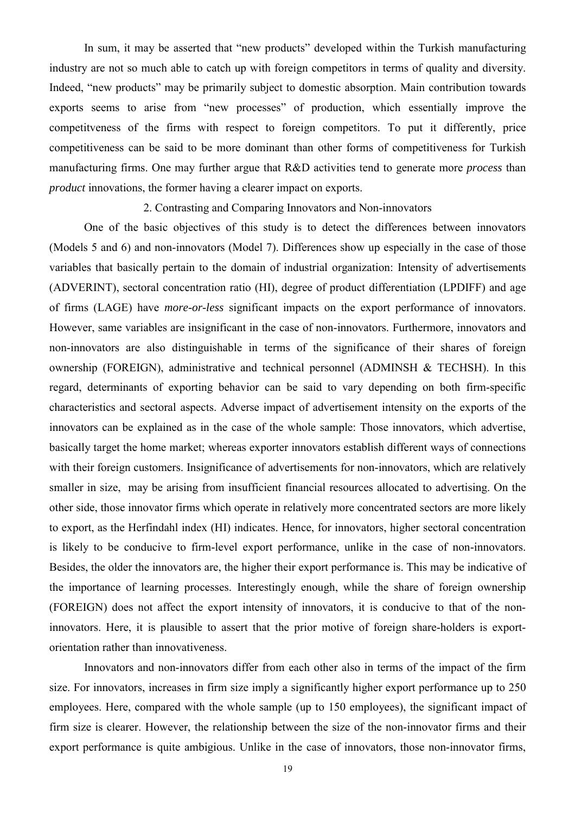In sum, it may be asserted that "new products" developed within the Turkish manufacturing industry are not so much able to catch up with foreign competitors in terms of quality and diversity. Indeed, "new products" may be primarily subject to domestic absorption. Main contribution towards exports seems to arise from "new processes" of production, which essentially improve the competitveness of the firms with respect to foreign competitors. To put it differently, price competitiveness can be said to be more dominant than other forms of competitiveness for Turkish manufacturing firms. One may further argue that R&D activities tend to generate more *process* than *product* innovations, the former having a clearer impact on exports.

2. Contrasting and Comparing Innovators and Non-innovators

One of the basic objectives of this study is to detect the differences between innovators (Models 5 and 6) and non-innovators (Model 7). Differences show up especially in the case of those variables that basically pertain to the domain of industrial organization: Intensity of advertisements (ADVERINT), sectoral concentration ratio (HI), degree of product differentiation (LPDIFF) and age of firms (LAGE) have *more-or-less* significant impacts on the export performance of innovators. However, same variables are insignificant in the case of non-innovators. Furthermore, innovators and non-innovators are also distinguishable in terms of the significance of their shares of foreign ownership (FOREIGN), administrative and technical personnel (ADMINSH & TECHSH). In this regard, determinants of exporting behavior can be said to vary depending on both firm-specific characteristics and sectoral aspects. Adverse impact of advertisement intensity on the exports of the innovators can be explained as in the case of the whole sample: Those innovators, which advertise, basically target the home market; whereas exporter innovators establish different ways of connections with their foreign customers. Insignificance of advertisements for non-innovators, which are relatively smaller in size, may be arising from insufficient financial resources allocated to advertising. On the other side, those innovator firms which operate in relatively more concentrated sectors are more likely to export, as the Herfindahl index (HI) indicates. Hence, for innovators, higher sectoral concentration is likely to be conducive to firm-level export performance, unlike in the case of non-innovators. Besides, the older the innovators are, the higher their export performance is. This may be indicative of the importance of learning processes. Interestingly enough, while the share of foreign ownership (FOREIGN) does not affect the export intensity of innovators, it is conducive to that of the noninnovators. Here, it is plausible to assert that the prior motive of foreign share-holders is exportorientation rather than innovativeness.

Innovators and non-innovators differ from each other also in terms of the impact of the firm size. For innovators, increases in firm size imply a significantly higher export performance up to 250 employees. Here, compared with the whole sample (up to 150 employees), the significant impact of firm size is clearer. However, the relationship between the size of the non-innovator firms and their export performance is quite ambigious. Unlike in the case of innovators, those non-innovator firms,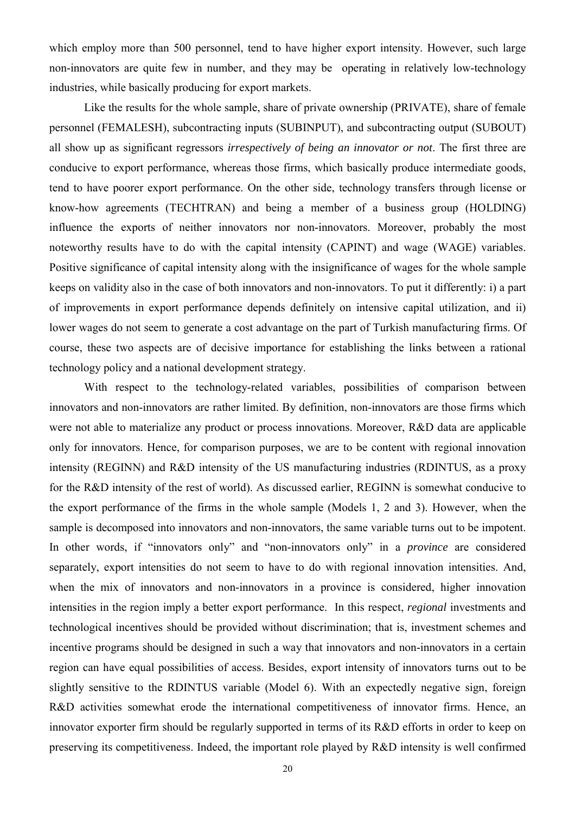which employ more than 500 personnel, tend to have higher export intensity. However, such large non-innovators are quite few in number, and they may be operating in relatively low-technology industries, while basically producing for export markets.

Like the results for the whole sample, share of private ownership (PRIVATE), share of female personnel (FEMALESH), subcontracting inputs (SUBINPUT), and subcontracting output (SUBOUT) all show up as significant regressors *irrespectively of being an innovator or not*. The first three are conducive to export performance, whereas those firms, which basically produce intermediate goods, tend to have poorer export performance. On the other side, technology transfers through license or know-how agreements (TECHTRAN) and being a member of a business group (HOLDING) influence the exports of neither innovators nor non-innovators. Moreover, probably the most noteworthy results have to do with the capital intensity (CAPINT) and wage (WAGE) variables. Positive significance of capital intensity along with the insignificance of wages for the whole sample keeps on validity also in the case of both innovators and non-innovators. To put it differently: i) a part of improvements in export performance depends definitely on intensive capital utilization, and ii) lower wages do not seem to generate a cost advantage on the part of Turkish manufacturing firms. Of course, these two aspects are of decisive importance for establishing the links between a rational technology policy and a national development strategy.

With respect to the technology-related variables, possibilities of comparison between innovators and non-innovators are rather limited. By definition, non-innovators are those firms which were not able to materialize any product or process innovations. Moreover, R&D data are applicable only for innovators. Hence, for comparison purposes, we are to be content with regional innovation intensity (REGINN) and R&D intensity of the US manufacturing industries (RDINTUS, as a proxy for the R&D intensity of the rest of world). As discussed earlier, REGINN is somewhat conducive to the export performance of the firms in the whole sample (Models 1, 2 and 3). However, when the sample is decomposed into innovators and non-innovators, the same variable turns out to be impotent. In other words, if "innovators only" and "non-innovators only" in a *province* are considered separately, export intensities do not seem to have to do with regional innovation intensities. And, when the mix of innovators and non-innovators in a province is considered, higher innovation intensities in the region imply a better export performance. In this respect, *regional* investments and technological incentives should be provided without discrimination; that is, investment schemes and incentive programs should be designed in such a way that innovators and non-innovators in a certain region can have equal possibilities of access. Besides, export intensity of innovators turns out to be slightly sensitive to the RDINTUS variable (Model 6). With an expectedly negative sign, foreign R&D activities somewhat erode the international competitiveness of innovator firms. Hence, an innovator exporter firm should be regularly supported in terms of its R&D efforts in order to keep on preserving its competitiveness. Indeed, the important role played by R&D intensity is well confirmed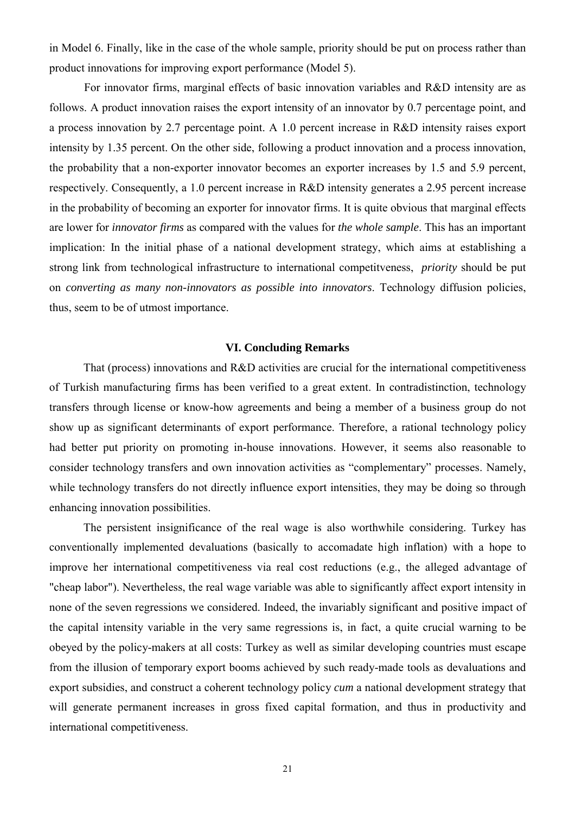in Model 6. Finally, like in the case of the whole sample, priority should be put on process rather than product innovations for improving export performance (Model 5).

For innovator firms, marginal effects of basic innovation variables and R&D intensity are as follows. A product innovation raises the export intensity of an innovator by 0.7 percentage point, and a process innovation by 2.7 percentage point. A 1.0 percent increase in R&D intensity raises export intensity by 1.35 percent. On the other side, following a product innovation and a process innovation, the probability that a non-exporter innovator becomes an exporter increases by 1.5 and 5.9 percent, respectively. Consequently, a 1.0 percent increase in R&D intensity generates a 2.95 percent increase in the probability of becoming an exporter for innovator firms. It is quite obvious that marginal effects are lower for *innovator firms* as compared with the values for *the whole sample*. This has an important implication: In the initial phase of a national development strategy, which aims at establishing a strong link from technological infrastructure to international competitveness, *priority* should be put on *converting as many non-innovators as possible into innovators*. Technology diffusion policies, thus, seem to be of utmost importance.

#### **VI. Concluding Remarks**

That (process) innovations and R&D activities are crucial for the international competitiveness of Turkish manufacturing firms has been verified to a great extent. In contradistinction, technology transfers through license or know-how agreements and being a member of a business group do not show up as significant determinants of export performance. Therefore, a rational technology policy had better put priority on promoting in-house innovations. However, it seems also reasonable to consider technology transfers and own innovation activities as "complementary" processes. Namely, while technology transfers do not directly influence export intensities, they may be doing so through enhancing innovation possibilities.

The persistent insignificance of the real wage is also worthwhile considering. Turkey has conventionally implemented devaluations (basically to accomadate high inflation) with a hope to improve her international competitiveness via real cost reductions (e.g., the alleged advantage of "cheap labor"). Nevertheless, the real wage variable was able to significantly affect export intensity in none of the seven regressions we considered. Indeed, the invariably significant and positive impact of the capital intensity variable in the very same regressions is, in fact, a quite crucial warning to be obeyed by the policy-makers at all costs: Turkey as well as similar developing countries must escape from the illusion of temporary export booms achieved by such ready-made tools as devaluations and export subsidies, and construct a coherent technology policy *cum* a national development strategy that will generate permanent increases in gross fixed capital formation, and thus in productivity and international competitiveness.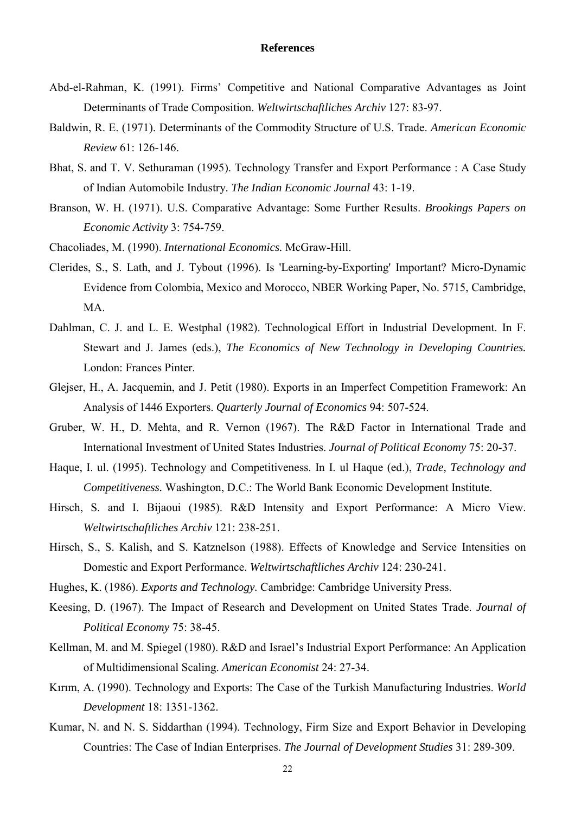#### **References**

- Abd-el-Rahman, K. (1991). Firms' Competitive and National Comparative Advantages as Joint Determinants of Trade Composition. *Weltwirtschaftliches Archiv* 127: 83-97.
- Baldwin, R. E. (1971). Determinants of the Commodity Structure of U.S. Trade. *American Economic Review* 61: 126-146.
- Bhat, S. and T. V. Sethuraman (1995). Technology Transfer and Export Performance : A Case Study of Indian Automobile Industry. *The Indian Economic Journal* 43: 1-19.
- Branson, W. H. (1971). U.S. Comparative Advantage: Some Further Results. *Brookings Papers on Economic Activity* 3: 754-759.
- Chacoliades, M. (1990). *International Economics.* McGraw-Hill.
- Clerides, S., S. Lath, and J. Tybout (1996). Is 'Learning-by-Exporting' Important? Micro-Dynamic Evidence from Colombia, Mexico and Morocco, NBER Working Paper, No. 5715, Cambridge, MA.
- Dahlman, C. J. and L. E. Westphal (1982). Technological Effort in Industrial Development. In F. Stewart and J. James (eds.), *The Economics of New Technology in Developing Countries.* London: Frances Pinter.
- Glejser, H., A. Jacquemin, and J. Petit (1980). Exports in an Imperfect Competition Framework: An Analysis of 1446 Exporters. *Quarterly Journal of Economics* 94: 507-524.
- Gruber, W. H., D. Mehta, and R. Vernon (1967). The R&D Factor in International Trade and International Investment of United States Industries. *Journal of Political Economy* 75: 20-37.
- Haque, I. ul. (1995). Technology and Competitiveness. In I. ul Haque (ed.), *Trade, Technology and Competitiveness.* Washington, D.C.: The World Bank Economic Development Institute.
- Hirsch, S. and I. Bijaoui (1985). R&D Intensity and Export Performance: A Micro View. *Weltwirtschaftliches Archiv* 121: 238-251.
- Hirsch, S., S. Kalish, and S. Katznelson (1988). Effects of Knowledge and Service Intensities on Domestic and Export Performance. *Weltwirtschaftliches Archiv* 124: 230-241.
- Hughes, K. (1986). *Exports and Technology.* Cambridge: Cambridge University Press.
- Keesing, D. (1967). The Impact of Research and Development on United States Trade. *Journal of Political Economy* 75: 38-45.
- Kellman, M. and M. Spiegel (1980). R&D and Israel's Industrial Export Performance: An Application of Multidimensional Scaling. *American Economist* 24: 27-34.
- Kırım, A. (1990). Technology and Exports: The Case of the Turkish Manufacturing Industries. *World Development* 18: 1351-1362.
- Kumar, N. and N. S. Siddarthan (1994). Technology, Firm Size and Export Behavior in Developing Countries: The Case of Indian Enterprises. *The Journal of Development Studies* 31: 289-309.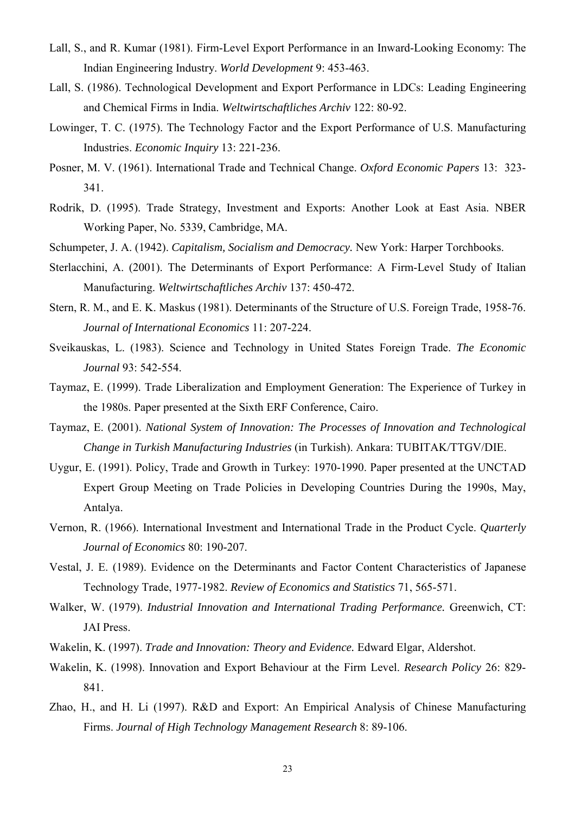- Lall, S., and R. Kumar (1981). Firm-Level Export Performance in an Inward-Looking Economy: The Indian Engineering Industry. *World Development* 9: 453-463.
- Lall, S. (1986). Technological Development and Export Performance in LDCs: Leading Engineering and Chemical Firms in India. *Weltwirtschaftliches Archiv* 122: 80-92.
- Lowinger, T. C. (1975). The Technology Factor and the Export Performance of U.S. Manufacturing Industries. *Economic Inquiry* 13: 221-236.
- Posner, M. V. (1961). International Trade and Technical Change. *Oxford Economic Papers* 13: 323- 341.
- Rodrik, D. (1995). Trade Strategy, Investment and Exports: Another Look at East Asia. NBER Working Paper, No. 5339, Cambridge, MA.
- Schumpeter, J. A. (1942). *Capitalism, Socialism and Democracy.* New York: Harper Torchbooks.
- Sterlacchini, A. (2001). The Determinants of Export Performance: A Firm-Level Study of Italian Manufacturing. *Weltwirtschaftliches Archiv* 137: 450-472.
- Stern, R. M., and E. K. Maskus (1981). Determinants of the Structure of U.S. Foreign Trade, 1958-76. *Journal of International Economics* 11: 207-224.
- Sveikauskas, L. (1983). Science and Technology in United States Foreign Trade. *The Economic Journal* 93: 542-554.
- Taymaz, E. (1999). Trade Liberalization and Employment Generation: The Experience of Turkey in the 1980s. Paper presented at the Sixth ERF Conference, Cairo.
- Taymaz, E. (2001). *National System of Innovation: The Processes of Innovation and Technological Change in Turkish Manufacturing Industries* (in Turkish). Ankara: TUBITAK/TTGV/DIE.
- Uygur, E. (1991). Policy, Trade and Growth in Turkey: 1970-1990. Paper presented at the UNCTAD Expert Group Meeting on Trade Policies in Developing Countries During the 1990s, May, Antalya.
- Vernon, R. (1966). International Investment and International Trade in the Product Cycle. *Quarterly Journal of Economics* 80: 190-207.
- Vestal, J. E. (1989). Evidence on the Determinants and Factor Content Characteristics of Japanese Technology Trade, 1977-1982. *Review of Economics and Statistics* 71, 565-571.
- Walker, W. (1979). *Industrial Innovation and International Trading Performance.* Greenwich, CT: JAI Press.
- Wakelin, K. (1997). *Trade and Innovation: Theory and Evidence.* Edward Elgar, Aldershot.
- Wakelin, K. (1998). Innovation and Export Behaviour at the Firm Level. *Research Policy* 26: 829- 841.
- Zhao, H., and H. Li (1997). R&D and Export: An Empirical Analysis of Chinese Manufacturing Firms. *Journal of High Technology Management Research* 8: 89-106.